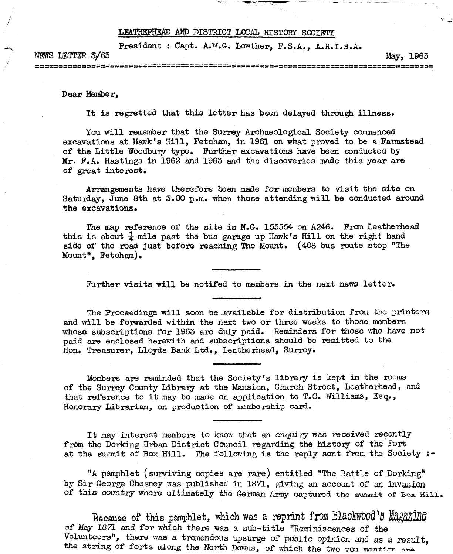## LEATHEPHEAD AND DISTRICT LOCAL HISTORY SOCIETY

**President : Capt. A.W.G. Lowther, P.S.A., A.R.I.B.A.**

**KEWS LETTER 3/63** May, 1963 202002020200000202020 222223332322

**Dear Member,**

It is regretted that this letter has been delayed through illness.

**You will remember that the Surrey Archaeological Society commenced excavations at Hawk's Mill, Fetcham, in 1961 on what proved to be a Farmstead of the Little Woodbury type. Further excavations have been conducted by Mr. F.A. Hastings in 1962 and 1963 and the discoveries made this year are of great interest.**

**Arrangements have therefore been made for members to visit the site on Saturday, June 8th at 3.00 p.m. when those attending will be conducted around the excavations.**

**The map reference of the site is N.G. 155554 on A246. From Leatherhead** this is about  $\frac{1}{4}$  mile past the bus garage up Hawk's Hill on the right hand **side of the road just before reaching The Mount. (408 bus route stop ''The Mount", Fetcham),**

**Further visits will be notifed to members in the next news letter.**

**The Proceedings will soon be,available for distribution from the printers and will be forwarded within the next two or three weeks to those members whose subscriptions for 1963 are duly paid. Reminders for those who have not paid are enclosed herewith and subscriptions should be remitted to the Hon. Treasurer, Lloyds Bank Ltd., Leatherhead, Surrey.**

**Members are reminded that the Society's library is kept in the rooms of the Surrey County Library at the Mansion, Church Street, Leatherhead, and that reference to it may be made on application to T.C. Williams, Esq., Honorary Librarian, on production of membership card.**

**It may interest members to know that an enquiry was received recently from the Dorking Urban District Council regarding the history of the Fort at the summit of Box Hill. The following is the reply sent from the Society ;-**

**"A pamphlet (surviving copies are rare) entitled "The Battle of Dorking" by Sir George Chesney was published in 1871, giving an account of an invasion** of this country where ultimately the German Army captured the summit of Box Hill.

**Because of this pamphlet, which was a reprint from Blackwood'5 Magazing** *or* **May** *1871 end* **for which there was a sub-title ''Reminiscences of the Volunteers", there was a tremendous upsurge** *of* **public opinion and as** *&* **result,** the string of forts along the North Downs, of which the two von mention are